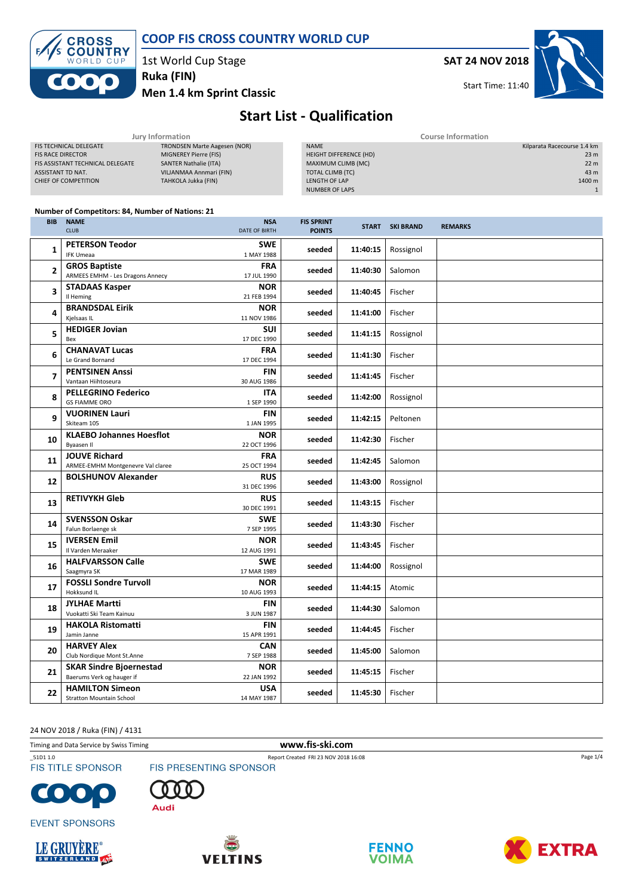

#### COOP FIS CROSS COUNTRY WORLD CUP

1st World Cup Stage

Ruka (FIN)

Men 1.4 km Sprint Classic

SAT 24 NOV 2018

Start Time: 11:40



## Start List - Qualification

| Jury Information                 |                                     |  | <b>Course Information</b> |  |                             |
|----------------------------------|-------------------------------------|--|---------------------------|--|-----------------------------|
| <b>FIS TECHNICAL DELEGATE</b>    | <b>TRONDSEN Marte Aagesen (NOR)</b> |  | <b>NAME</b>               |  | Kilparata Racecourse 1.4 km |
| <b>FIS RACE DIRECTOR</b>         | MIGNEREY Pierre (FIS)               |  | HEIGHT DIFFERENCE (HD)    |  | 23 <sub>m</sub>             |
| FIS ASSISTANT TECHNICAL DELEGATE | <b>SANTER Nathalie (ITA)</b>        |  | MAXIMUM CLIMB (MC)        |  | 22 <sub>m</sub>             |
| ASSISTANT TD NAT.                | VILJANMAA Annmari (FIN)             |  | TOTAL CLIMB (TC)          |  | 43 m                        |
| CHIEF OF COMPETITION             | TAHKOLA Jukka (FIN)                 |  | LENGTH OF LAP             |  | 1400 m                      |
|                                  |                                     |  | <b>NUMBER OF LAPS</b>     |  |                             |
|                                  |                                     |  |                           |  |                             |

#### Number of Competitors: 84, Number of Nations: 21

| <b>BIB</b>     | <b>NAME</b><br><b>CLUB</b>                                      | <b>NSA</b><br><b>DATE OF BIRTH</b> | <b>FIS SPRINT</b><br><b>POINTS</b> |          | <b>START SKI BRAND</b> | <b>REMARKS</b> |
|----------------|-----------------------------------------------------------------|------------------------------------|------------------------------------|----------|------------------------|----------------|
| 1              | <b>PETERSON Teodor</b><br><b>IFK Umeaa</b>                      | <b>SWE</b><br>1 MAY 1988           | seeded                             | 11:40:15 | Rossignol              |                |
| $\overline{2}$ | <b>GROS Baptiste</b><br><b>ARMEES EMHM - Les Dragons Annecy</b> | <b>FRA</b><br>17 JUL 1990          | seeded                             | 11:40:30 | Salomon                |                |
| 3              | <b>STADAAS Kasper</b><br>Il Heming                              | <b>NOR</b><br>21 FEB 1994          | seeded                             | 11:40:45 | Fischer                |                |
| 4              | <b>BRANDSDAL Eirik</b><br>Kjelsaas IL                           | <b>NOR</b><br>11 NOV 1986          | seeded                             | 11:41:00 | Fischer                |                |
| 5              | <b>HEDIGER Jovian</b><br>Bex                                    | SUI<br>17 DEC 1990                 | seeded                             | 11:41:15 | Rossignol              |                |
| 6              | <b>CHANAVAT Lucas</b><br>Le Grand Bornand                       | <b>FRA</b><br>17 DEC 1994          | seeded                             | 11:41:30 | Fischer                |                |
| 7              | <b>PENTSINEN Anssi</b><br>Vantaan Hiihtoseura                   | <b>FIN</b><br>30 AUG 1986          | seeded                             | 11:41:45 | Fischer                |                |
| 8              | <b>PELLEGRINO Federico</b><br><b>GS FIAMME ORO</b>              | <b>ITA</b><br>1 SEP 1990           | seeded                             | 11:42:00 | Rossignol              |                |
| 9              | <b>VUORINEN Lauri</b><br>Skiteam 105                            | <b>FIN</b><br>1 JAN 1995           | seeded                             | 11:42:15 | Peltonen               |                |
| 10             | <b>KLAEBO Johannes Hoesflot</b><br>Byaasen II                   | <b>NOR</b><br>22 OCT 1996          | seeded                             | 11:42:30 | Fischer                |                |
| 11             | <b>JOUVE Richard</b><br>ARMEE-EMHM Montgenevre Val claree       | <b>FRA</b><br>25 OCT 1994          | seeded                             | 11:42:45 | Salomon                |                |
| 12             | <b>BOLSHUNOV Alexander</b>                                      | <b>RUS</b><br>31 DEC 1996          | seeded                             | 11:43:00 | Rossignol              |                |
| 13             | <b>RETIVYKH Gleb</b>                                            | <b>RUS</b><br>30 DEC 1991          | seeded                             | 11:43:15 | Fischer                |                |
| 14             | <b>SVENSSON Oskar</b><br>Falun Borlaenge sk                     | <b>SWE</b><br>7 SEP 1995           | seeded                             | 11:43:30 | Fischer                |                |
| 15             | <b>IVERSEN Emil</b><br>Il Varden Meraaker                       | <b>NOR</b><br>12 AUG 1991          | seeded                             | 11:43:45 | Fischer                |                |
| 16             | <b>HALFVARSSON Calle</b><br>Saagmyra SK                         | <b>SWE</b><br>17 MAR 1989          | seeded                             | 11:44:00 | Rossignol              |                |
| 17             | <b>FOSSLI Sondre Turvoll</b><br>Hokksund IL                     | <b>NOR</b><br>10 AUG 1993          | seeded                             | 11:44:15 | Atomic                 |                |
| 18             | <b>JYLHAE Martti</b><br>Vuokatti Ski Team Kainuu                | <b>FIN</b><br>3 JUN 1987           | seeded                             | 11:44:30 | Salomon                |                |
| 19             | <b>HAKOLA Ristomatti</b><br>Jamin Janne                         | <b>FIN</b><br>15 APR 1991          | seeded                             | 11:44:45 | Fischer                |                |
| 20             | <b>HARVEY Alex</b><br>Club Nordique Mont St.Anne                | <b>CAN</b><br>7 SEP 1988           | seeded                             | 11:45:00 | Salomon                |                |
| 21             | <b>SKAR Sindre Bioernestad</b><br>Baerums Verk og hauger if     | <b>NOR</b><br>22 JAN 1992          | seeded                             | 11:45:15 | Fischer                |                |
| 22             | <b>HAMILTON Simeon</b><br><b>Stratton Mountain School</b>       | <b>USA</b><br>14 MAY 1987          | seeded                             | 11:45:30 | Fischer                |                |

24 NOV 2018 / Ruka (FIN) / 4131

Timing and Data Service by Swiss Timing www.fis-ski.com

**EVENT SPONSORS** 



\_51D1 1.0 Report Created FRI 23 NOV 2018 16:08

**FIS TITLE SPONSOR** 



Audi









Page 1/4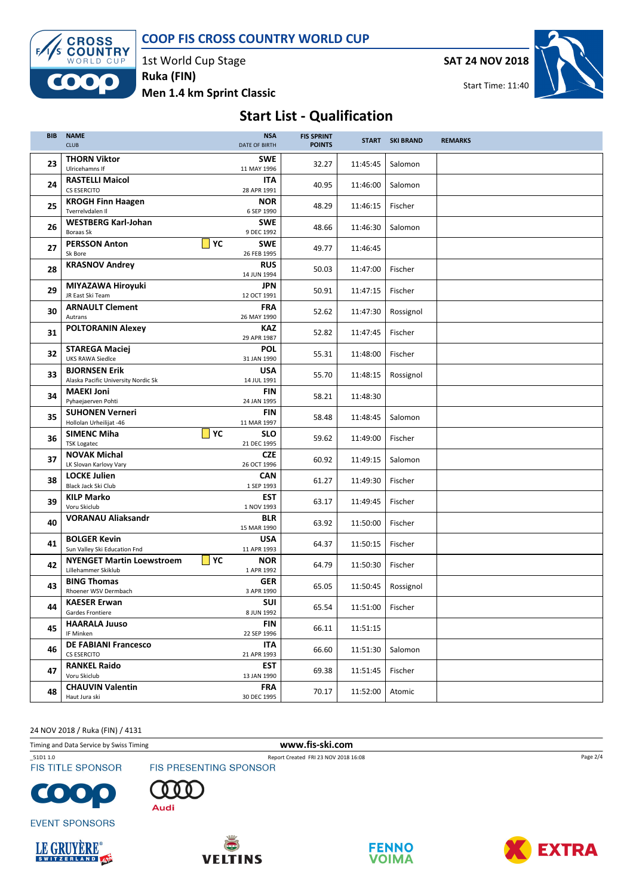COOP FIS CROSS COUNTRY WORLD CUP



1st World Cup Stage Men 1.4 km Sprint Classic Ruka (FIN)

SAT 24 NOV 2018



## Start List - Qualification

| <b>BIB</b> | <b>NAME</b><br><b>CLUB</b>                                        | <b>NSA</b><br><b>DATE OF BIRTH</b>      | <b>FIS SPRINT</b><br><b>POINTS</b> |          | <b>START SKI BRAND</b> | <b>REMARKS</b> |
|------------|-------------------------------------------------------------------|-----------------------------------------|------------------------------------|----------|------------------------|----------------|
| 23         | <b>THORN Viktor</b><br>Ulricehamns If                             | <b>SWE</b><br>11 MAY 1996               | 32.27                              | 11:45:45 | Salomon                |                |
| 24         | <b>RASTELLI Maicol</b><br><b>CS ESERCITO</b>                      | <b>ITA</b><br>28 APR 1991               | 40.95                              | 11:46:00 | Salomon                |                |
| 25         | <b>KROGH Finn Haagen</b><br>Tverrelvdalen II                      | <b>NOR</b><br>6 SEP 1990                | 48.29                              | 11:46:15 | Fischer                |                |
| 26         | <b>WESTBERG Karl-Johan</b><br><b>Boraas Sk</b>                    | <b>SWE</b><br>9 DEC 1992                | 48.66                              | 11:46:30 | Salomon                |                |
| 27         | <b>PERSSON Anton</b><br>Sk Bore                                   | $ $ YC<br><b>SWE</b><br>26 FEB 1995     | 49.77                              | 11:46:45 |                        |                |
| 28         | <b>KRASNOV Andrey</b>                                             | <b>RUS</b><br>14 JUN 1994               | 50.03                              | 11:47:00 | Fischer                |                |
| 29         | MIYAZAWA Hiroyuki<br>JR East Ski Team                             | JPN<br>12 OCT 1991                      | 50.91                              | 11:47:15 | Fischer                |                |
| 30         | <b>ARNAULT Clement</b><br>Autrans                                 | <b>FRA</b><br>26 MAY 1990               | 52.62                              | 11:47:30 | Rossignol              |                |
| 31         | <b>POLTORANIN Alexey</b>                                          | KAZ<br>29 APR 1987                      | 52.82                              | 11:47:45 | Fischer                |                |
| 32         | <b>STAREGA Maciej</b><br><b>UKS RAWA Siedlce</b>                  | <b>POL</b><br>31 JAN 1990               | 55.31                              | 11:48:00 | Fischer                |                |
| 33         | <b>BJORNSEN Erik</b><br>Alaska Pacific University Nordic Sk       | <b>USA</b><br>14 JUL 1991               | 55.70                              | 11:48:15 | Rossignol              |                |
| 34         | <b>MAEKI Joni</b><br>Pyhaejaerven Pohti<br><b>SUHONEN Verneri</b> | FIN<br>24 JAN 1995<br><b>FIN</b>        | 58.21                              | 11:48:30 |                        |                |
| 35         | Hollolan Urheilijat -46<br><b>SIMENC Miha</b>                     | 11 MAR 1997<br>$ $ YC<br><b>SLO</b>     | 58.48                              | 11:48:45 | Salomon                |                |
| 36         | <b>TSK Logatec</b><br><b>NOVAK Michal</b>                         | 21 DEC 1995<br><b>CZE</b>               | 59.62                              | 11:49:00 | Fischer                |                |
| 37         | LK Slovan Karlovy Vary<br><b>LOCKE Julien</b>                     | 26 OCT 1996<br><b>CAN</b>               | 60.92                              | 11:49:15 | Salomon                |                |
| 38         | Black Jack Ski Club<br><b>KILP Marko</b>                          | 1 SEP 1993<br><b>EST</b>                | 61.27                              | 11:49:30 | Fischer                |                |
| 39         | Voru Skiclub<br><b>VORANAU Aliaksandr</b>                         | 1 NOV 1993<br><b>BLR</b>                | 63.17                              | 11:49:45 | Fischer                |                |
| 40         | <b>BOLGER Kevin</b>                                               | 15 MAR 1990<br><b>USA</b>               | 63.92                              | 11:50:00 | Fischer                |                |
| 41         | Sun Valley Ski Education Fnd<br><b>NYENGET Martin Loewstroem</b>  | 11 APR 1993<br>$\vert$ YC<br><b>NOR</b> | 64.37                              | 11:50:15 | Fischer                |                |
| 42         | Lillehammer Skiklub<br><b>BING Thomas</b>                         | 1 APR 1992<br>GER                       | 64.79                              | 11:50:30 | Fischer                |                |
| 43         | Rhoener WSV Dermbach<br><b>KAESER Erwan</b>                       | 3 APR 1990<br><b>SUI</b>                | 65.05                              | 11:50:45 | Rossignol              |                |
| 44         | Gardes Frontiere<br><b>HAARALA Juuso</b>                          | 8 JUN 1992<br><b>FIN</b>                | 65.54                              | 11:51:00 | Fischer                |                |
| 45         | IF Minken<br><b>DE FABIANI Francesco</b>                          | 22 SEP 1996<br><b>ITA</b>               | 66.11                              | 11:51:15 |                        |                |
| 46         | <b>CS ESERCITO</b><br><b>RANKEL Raido</b>                         | 21 APR 1993<br><b>EST</b>               | 66.60                              | 11:51:30 | Salomon                |                |
| 47         | Voru Skiclub<br><b>CHAUVIN Valentin</b>                           | 13 JAN 1990<br><b>FRA</b>               | 69.38                              | 11:51:45 | Fischer                |                |
| 48         | Haut Jura ski                                                     | 30 DEC 1995                             | 70.17                              | 11:52:00 | Atomic                 |                |

24 NOV 2018 / Ruka (FIN) / 4131

Timing and Data Service by Swiss Timing **www.fis-ski.com** 

\_51D1 1.0 Report Created FRI 23 NOV 2018 16:08 **FIS TITLE SPONSOR** 

















Page 2/4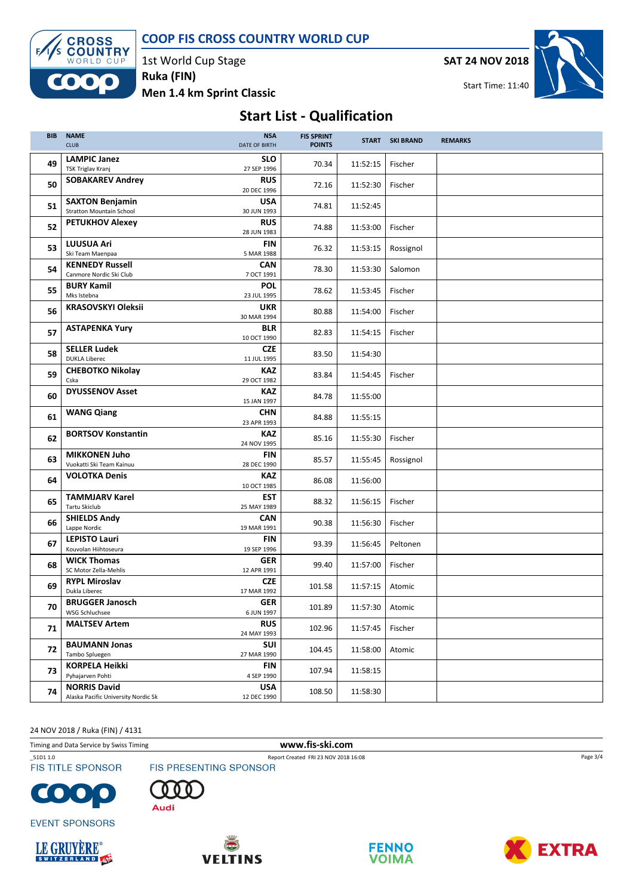COOP FIS CROSS COUNTRY WORLD CUP



1st World Cup Stage Men 1.4 km Sprint Classic Ruka (FIN)

SAT 24 NOV 2018



Start Time: 11:40

# Start List - Qualification

| <b>BIB</b> | <b>NAME</b><br><b>CLUB</b>                                 | <b>NSA</b><br><b>DATE OF BIRTH</b> | <b>FIS SPRINT</b><br><b>POINTS</b> |                   | START SKI BRAND | <b>REMARKS</b> |
|------------|------------------------------------------------------------|------------------------------------|------------------------------------|-------------------|-----------------|----------------|
| 49         | <b>LAMPIC Janez</b><br>TSK Triglav Kranj                   | <b>SLO</b><br>27 SEP 1996          | 70.34                              | 11:52:15          | Fischer         |                |
| 50         | <b>SOBAKAREV Andrey</b>                                    | <b>RUS</b><br>20 DEC 1996          | 72.16                              | 11:52:30          | Fischer         |                |
| 51         | <b>SAXTON Benjamin</b><br><b>Stratton Mountain School</b>  | <b>USA</b><br>30 JUN 1993          | 74.81                              | 11:52:45          |                 |                |
| 52         | <b>PETUKHOV Alexey</b>                                     | <b>RUS</b><br>28 JUN 1983          | 74.88                              | 11:53:00          | Fischer         |                |
| 53         | <b>LUUSUA Ari</b><br>Ski Team Maenpaa                      | <b>FIN</b><br>5 MAR 1988           | 76.32                              | 11:53:15          | Rossignol       |                |
| 54         | <b>KENNEDY Russell</b><br>Canmore Nordic Ski Club          | <b>CAN</b><br>7 OCT 1991           | 78.30                              | 11:53:30          | Salomon         |                |
| 55         | <b>BURY Kamil</b><br>Mks Istebna                           | <b>POL</b><br>23 JUL 1995          | 78.62                              | 11:53:45          | Fischer         |                |
| 56         | <b>KRASOVSKYI Oleksii</b>                                  | <b>UKR</b><br>30 MAR 1994          | 80.88                              | 11:54:00          | Fischer         |                |
| 57         | <b>ASTAPENKA Yury</b>                                      | <b>BLR</b><br>10 OCT 1990          | 82.83                              | 11:54:15          | Fischer         |                |
| 58         | <b>SELLER Ludek</b><br><b>DUKLA Liberec</b>                | <b>CZE</b><br>11 JUL 1995          | 83.50                              | 11:54:30          |                 |                |
| 59         | <b>CHEBOTKO Nikolay</b><br>Cska                            | <b>KAZ</b><br>29 OCT 1982          | 83.84                              | 11:54:45          | Fischer         |                |
| 60         | <b>DYUSSENOV Asset</b>                                     | <b>KAZ</b><br>15 JAN 1997          | 84.78                              | 11:55:00          |                 |                |
| 61         | <b>WANG Qiang</b>                                          | <b>CHN</b><br>23 APR 1993          | 84.88                              | 11:55:15          |                 |                |
| 62         | <b>BORTSOV Konstantin</b>                                  | KAZ<br>24 NOV 1995                 | 85.16                              | 11:55:30          | Fischer         |                |
| 63         | <b>MIKKONEN Juho</b><br>Vuokatti Ski Team Kainuu           | <b>FIN</b><br>28 DEC 1990          | 85.57                              | 11:55:45          | Rossignol       |                |
| 64         | <b>VOLOTKA Denis</b>                                       | <b>KAZ</b><br>10 OCT 1985          | 86.08                              | 11:56:00          |                 |                |
| 65         | <b>TAMMJARV Karel</b><br>Tartu Skiclub                     | <b>EST</b><br>25 MAY 1989          | 88.32                              | 11:56:15          | Fischer         |                |
| 66         | <b>SHIELDS Andy</b><br>Lappe Nordic                        | <b>CAN</b><br>19 MAR 1991          | 90.38                              | 11:56:30          | Fischer         |                |
| 67         | <b>LEPISTO Lauri</b><br>Kouvolan Hiihtoseura               | FIN<br>19 SEP 1996                 | 93.39                              | 11:56:45          | Peltonen        |                |
| 68         | <b>WICK Thomas</b><br>SC Motor Zella-Mehlis                | GER<br>12 APR 1991                 | 99.40                              | 11:57:00          | Fischer         |                |
| 69         | <b>RYPL Miroslav</b><br>Dukla Liberec                      | <b>CZE</b><br>17 MAR 1992          | 101.58                             | 11:57:15          | Atomic          |                |
| 70         | <b>BRUGGER Janosch</b><br>WSG Schluchsee                   | GER<br>6 JUN 1997                  | 101.89                             | 11:57:30   Atomic |                 |                |
| 71         | <b>MALTSEV Artem</b>                                       | <b>RUS</b><br>24 MAY 1993          | 102.96                             | 11:57:45          | Fischer         |                |
| 72         | <b>BAUMANN Jonas</b><br>Tambo Spluegen                     | SUI<br>27 MAR 1990                 | 104.45                             | 11:58:00          | Atomic          |                |
| 73         | <b>KORPELA Heikki</b><br>Pyhajarven Pohti                  | <b>FIN</b><br>4 SEP 1990           | 107.94                             | 11:58:15          |                 |                |
| 74         | <b>NORRIS David</b><br>Alaska Pacific University Nordic Sk | <b>USA</b><br>12 DEC 1990          | 108.50                             | 11:58:30          |                 |                |

24 NOV 2018 / Ruka (FIN) / 4131

Timing and Data Service by Swiss Timing **www.fis-ski.com** 

**FIS TITLE SPONSOR** 







**EVENT SPONSORS** 









Page 3/4